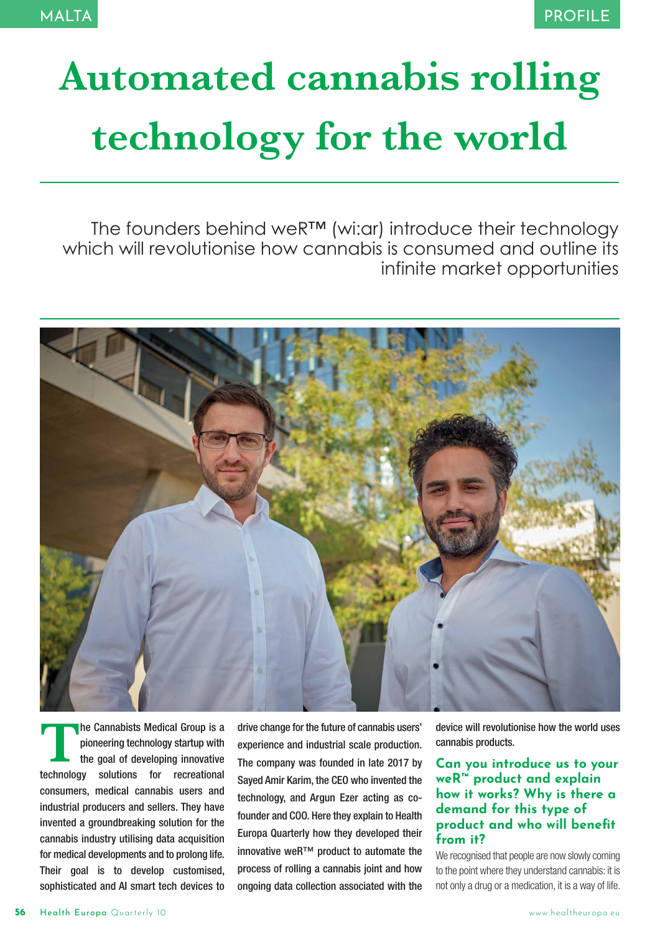# **Automated cannabis rolling technology for the world**

The founders behind weR™ (wi:ar) introduce their technology which will revolutionise how cannabis is consumed and outline its infinite market opportunities



**The Cannabists Medical Group is a<br>pioneering technology startup with<br>the goal of developing innovative<br>technology solutions for recreational** pioneering technology startup with the goal of developing innovative technology solutions for recreational consumers, medical cannabis users and industrial producers and sellers. They have invented a groundbreaking solution for the cannabis industry utilising data acquisition for medical developments and to prolong life. Their goal is to develop customised, sophisticated and AI smart tech devices to

drive change for the future of cannabis users' experience and industrial scale production. The company was founded in late 2017 by Sayed Amir Karim, the CEO who invented the technology, and Argun Ezer acting as cofounder and COO. Here they explain to Health Europa Quarterly how they developed their innovative weR™ product to automate the process of rolling a cannabis joint and how ongoing data collection associated with the

device will revolutionise how the world uses cannabis products.

## **Can you introduce us to your weR™ product and explain how it works? Why is there a demand for this type of product and who will benefit from it?**

We recognised that people are now slowly coming to the point where they understand cannabis: it is not only a drug or a medication, it is a way of life.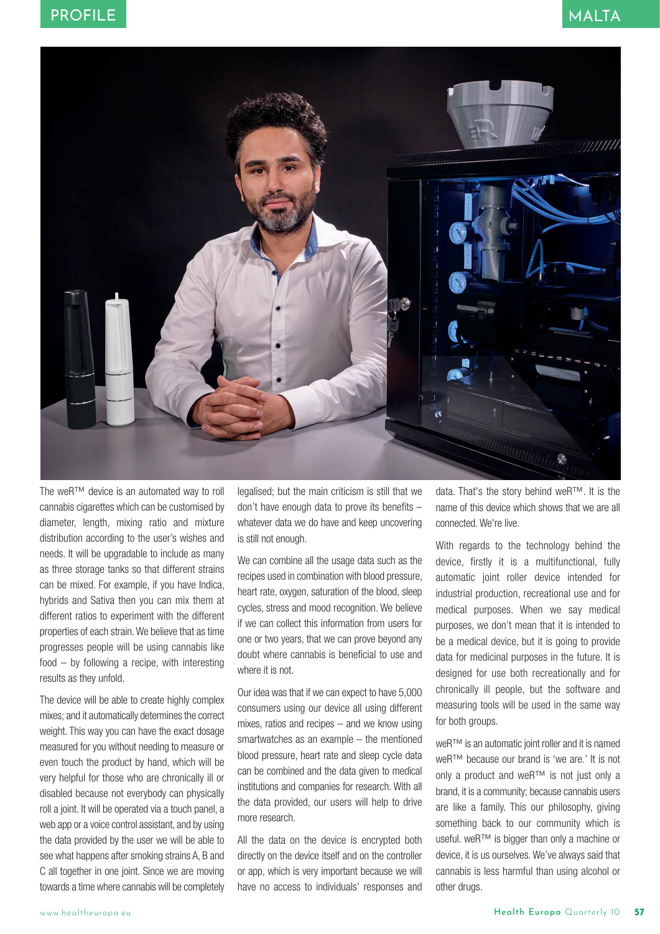

The weR™ device is an automated way to roll cannabis cigarettes which can be customised by diameter, length, mixing ratio and mixture distribution according to the user's wishes and needs. It will be upgradable to include as many as three storage tanks so that different strains can be mixed. For example, if you have Indica, hybrids and Sativa then you can mix them at different ratios to experiment with the different properties of each strain. We believe that as time progresses people will be using cannabis like food – by following a recipe, with interesting results as they unfold.

The device will be able to create highly complex mixes; and it automatically determines the correct weight. This way you can have the exact dosage measured for you without needing to measure or even touch the product by hand, which will be very helpful for those who are chronically ill or disabled because not everybody can physically roll a joint. It will be operated via a touch panel, a web app or a voice control assistant, and by using the data provided by the user we will be able to see what happens after smoking strains A, B and C all together in one joint. Since we are moving towards a time where cannabis will be completely legalised; but the main criticism is still that we don't have enough data to prove its benefits – whatever data we do have and keep uncovering is still not enough.

We can combine all the usage data such as the recipes used in combination with blood pressure, heart rate, oxygen, saturation of the blood, sleep cycles, stress and mood recognition. We believe if we can collect this information from users for one or two years, that we can prove beyond any doubt where cannabis is beneficial to use and where it is not.

Our idea was that if we can expect to have 5,000 consumers using our device all using different mixes, ratios and recipes – and we know using smartwatches as an example – the mentioned blood pressure, heart rate and sleep cycle data can be combined and the data given to medical institutions and companies for research. With all the data provided, our users will help to drive more research.

All the data on the device is encrypted both directly on the device itself and on the controller or app, which is very important because we will have no access to individuals' responses and

data. That's the story behind weR™. It is the name of this device which shows that we are all connected. We're live.

With regards to the technology behind the device, firstly it is a multifunctional, fully automatic joint roller device intended for industrial production, recreational use and for medical purposes. When we say medical purposes, we don't mean that it is intended to be a medical device, but it is going to provide data for medicinal purposes in the future. It is designed for use both recreationally and for chronically ill people, but the software and measuring tools will be used in the same way for both groups.

weR™ is an automatic joint roller and it is named weR™ because our brand is 'we are.' It is not only a product and weR™ is not just only a brand, it is a community; because cannabis users are like a family. This our philosophy, giving something back to our community which is useful. weR™ is bigger than only a machine or device, it is us ourselves. We've always said that cannabis is less harmful than using alcohol or other drugs.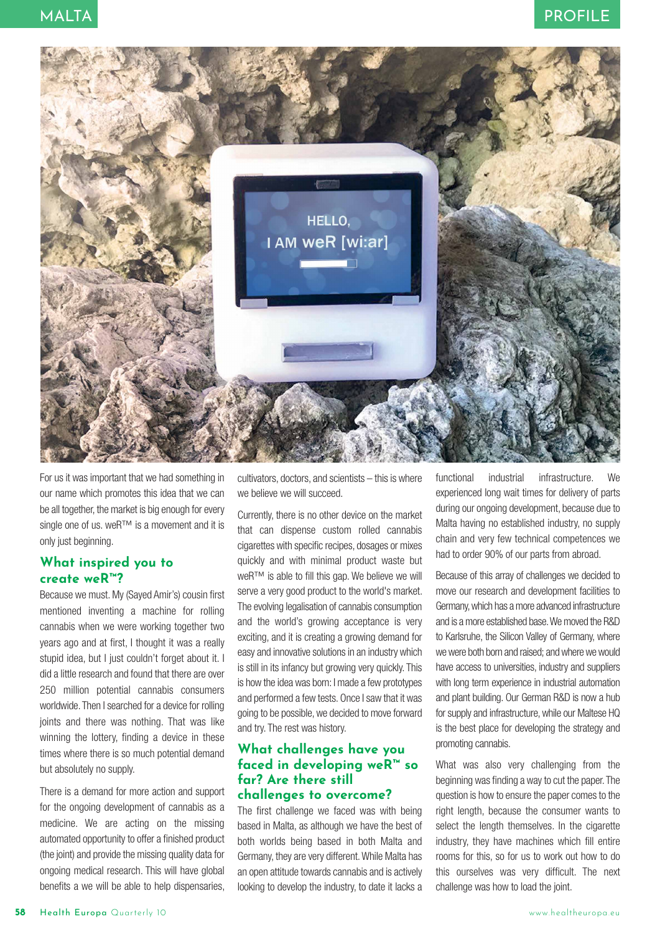

For us it was important that we had something in our name which promotes this idea that we can be all together, the market is big enough for every single one of us. weR<sup>™</sup> is a movement and it is only just beginning.

# **What inspired you to create weR™?**

Because we must. My (Sayed Amir's) cousin first mentioned inventing a machine for rolling cannabis when we were working together two years ago and at first, I thought it was a really stupid idea, but I just couldn't forget about it. I did a little research and found that there are over 250 million potential cannabis consumers worldwide. Then I searched for a device for rolling joints and there was nothing. That was like winning the lottery, finding a device in these times where there is so much potential demand but absolutely no supply.

There is a demand for more action and support for the ongoing development of cannabis as a medicine. We are acting on the missing automated opportunity to offer a finished product (the joint) and provide the missing quality data for ongoing medical research. This will have global benefits a we will be able to help dispensaries,

cultivators, doctors, and scientists – this is where we believe we will succeed.

Currently, there is no other device on the market that can dispense custom rolled cannabis cigarettes with specific recipes, dosages or mixes quickly and with minimal product waste but weR™ is able to fill this gap. We believe we will serve a very good product to the world's market. The evolving legalisation of cannabis consumption and the world's growing acceptance is very exciting, and it is creating a growing demand for easy and innovative solutions in an industry which is still in its infancy but growing very quickly. This is how the idea was born: I made a few prototypes and performed a few tests. Once I saw that it was going to be possible, we decided to move forward and try. The rest was history.

### **What challenges have you faced in developing weR™ so far? Are there still challenges to overcome?**

The first challenge we faced was with being based in Malta, as although we have the best of both worlds being based in both Malta and Germany, they are very different. While Malta has an open attitude towards cannabis and is actively looking to develop the industry, to date it lacks a

functional industrial infrastructure. We experienced long wait times for delivery of parts during our ongoing development, because due to Malta having no established industry, no supply chain and very few technical competences we had to order 90% of our parts from abroad.

Because of this array of challenges we decided to move our research and development facilities to Germany, which has a more advanced infrastructure and is a more established base. We moved the R&D to Karlsruhe, the Silicon Valley of Germany, where we were both born and raised; and where we would have access to universities, industry and suppliers with long term experience in industrial automation and plant building. Our German R&D is now a hub for supply and infrastructure, while our Maltese HQ is the best place for developing the strategy and promoting cannabis.

What was also very challenging from the beginning was finding a way to cut the paper. The question is how to ensure the paper comes to the right length, because the consumer wants to select the length themselves. In the cigarette industry, they have machines which fill entire rooms for this, so for us to work out how to do this ourselves was very difficult. The next challenge was how to load the joint.